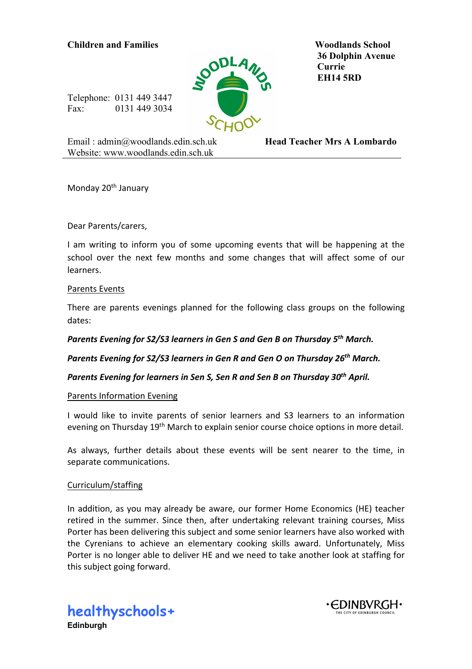# **Children and Families Woodlands School**



 **36 Dolphin Avenue Currie EH14 5RD**

Telephone: 0131 449 3447 Fax: 0131 449 3034

Email : admin@woodlands.edin.sch.uk Website: www.woodlands.edin.sch.uk

**Head Teacher Mrs A Lombardo**

Monday 20<sup>th</sup> January

Dear Parents/carers,

I am writing to inform you of some upcoming events that will be happening at the school over the next few months and some changes that will affect some of our learners.

### Parents Events

There are parents evenings planned for the following class groups on the following dates:

*Parents Evening for S2/S3 learners in Gen S and Gen B on Thursday 5th March.* 

*Parents Evening for S2/S3 learners in Gen R and Gen O on Thursday 26th March.* 

*Parents Evening for learners in Sen S, Sen R and Sen B on Thursday 30th April.* 

# Parents Information Evening

I would like to invite parents of senior learners and S3 learners to an information evening on Thursday 19<sup>th</sup> March to explain senior course choice options in more detail.

As always, further details about these events will be sent nearer to the time, in separate communications.

# Curriculum/staffing

In addition, as you may already be aware, our former Home Economics (HE) teacher retired in the summer. Since then, after undertaking relevant training courses, Miss Porter has been delivering this subject and some senior learners have also worked with the Cyrenians to achieve an elementary cooking skills award. Unfortunately, Miss Porter is no longer able to deliver HE and we need to take another look at staffing for this subject going forward.